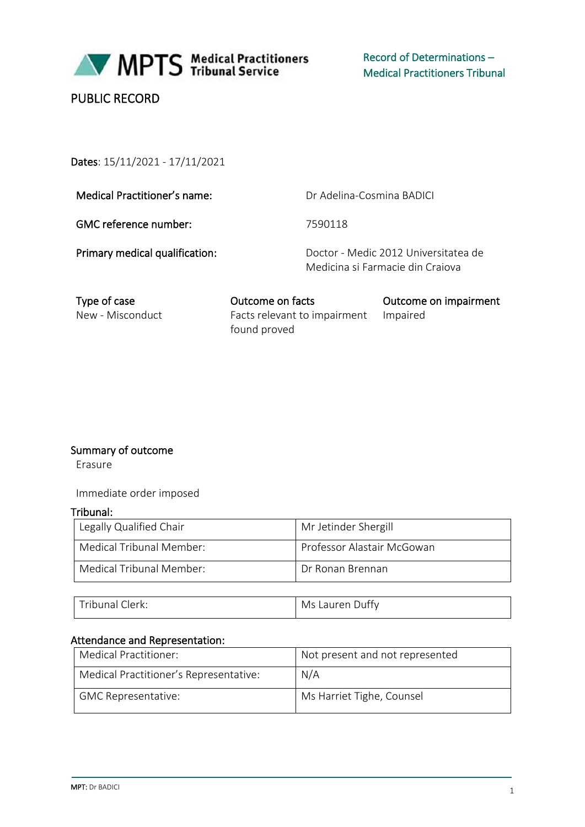

Record of Determinations – Medical Practitioners Tribunal

# PUBLIC RECORD

## Dates: 15/11/2021 - 17/11/2021

Medical Practitioner's name: Dr Adelina-Cosmina BADICI

GMC reference number: 7590118

Primary medical qualification: Doctor - Medic 2012 Universitatea de Medicina si Farmacie din Craiova

Type of case **Outcome on facts** Outcome on impairment<br>
New - Misconduct Facts relevant to impairment Impaired Facts relevant to impairment found proved Impaired

#### Summary of outcome

Erasure

Immediate order imposed

#### Tribunal:

| Legally Qualified Chair  | Mr Jetinder Shergill       |
|--------------------------|----------------------------|
| Medical Tribunal Member: | Professor Alastair McGowan |
| Medical Tribunal Member: | Dr Ronan Brennan           |

| "nbunai U<br>lerk: | $\epsilon$<br>Ms<br>auren<br>Juffy<br>J.<br>чı |
|--------------------|------------------------------------------------|
|--------------------|------------------------------------------------|

### Attendance and Representation:

| Medical Practitioner:                  | Not present and not represented |
|----------------------------------------|---------------------------------|
| Medical Practitioner's Representative: | N/A                             |
| GMC Representative:                    | Ms Harriet Tighe, Counsel       |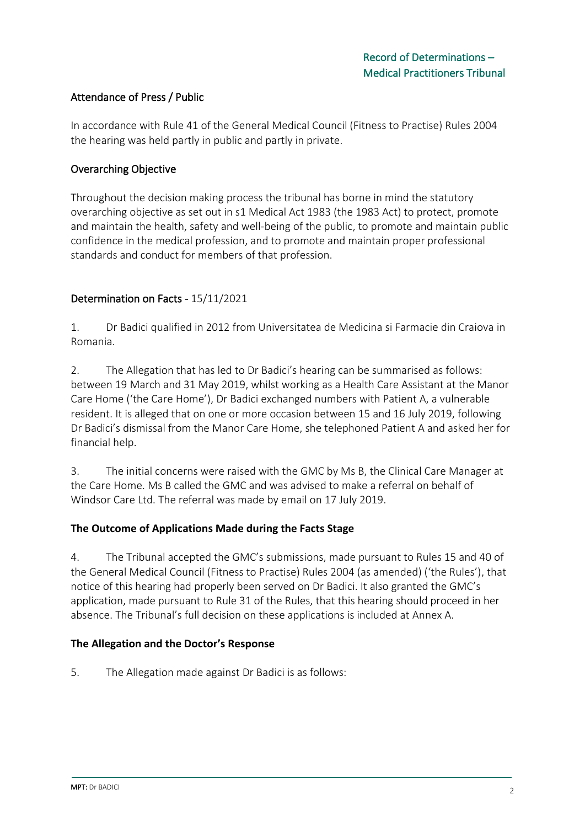## Attendance of Press / Public

In accordance with Rule 41 of the General Medical Council (Fitness to Practise) Rules 2004 the hearing was held partly in public and partly in private.

### Overarching Objective

Throughout the decision making process the tribunal has borne in mind the statutory overarching objective as set out in s1 Medical Act 1983 (the 1983 Act) to protect, promote and maintain the health, safety and well-being of the public, to promote and maintain public confidence in the medical profession, and to promote and maintain proper professional standards and conduct for members of that profession.

## Determination on Facts - 15/11/2021

1. Dr Badici qualified in 2012 from Universitatea de Medicina si Farmacie din Craiova in Romania.

2. The Allegation that has led to Dr Badici's hearing can be summarised as follows: between 19 March and 31 May 2019, whilst working as a Health Care Assistant at the Manor Care Home ('the Care Home'), Dr Badici exchanged numbers with Patient A, a vulnerable resident. It is alleged that on one or more occasion between 15 and 16 July 2019, following Dr Badici's dismissal from the Manor Care Home, she telephoned Patient A and asked her for financial help.

3. The initial concerns were raised with the GMC by Ms B, the Clinical Care Manager at the Care Home. Ms B called the GMC and was advised to make a referral on behalf of Windsor Care Ltd. The referral was made by email on 17 July 2019.

## **The Outcome of Applications Made during the Facts Stage**

4. The Tribunal accepted the GMC's submissions, made pursuant to Rules 15 and 40 of the General Medical Council (Fitness to Practise) Rules 2004 (as amended) ('the Rules'), that notice of this hearing had properly been served on Dr Badici. It also granted the GMC's application, made pursuant to Rule 31 of the Rules, that this hearing should proceed in her absence. The Tribunal's full decision on these applications is included at Annex A.

#### **The Allegation and the Doctor's Response**

5. The Allegation made against Dr Badici is as follows: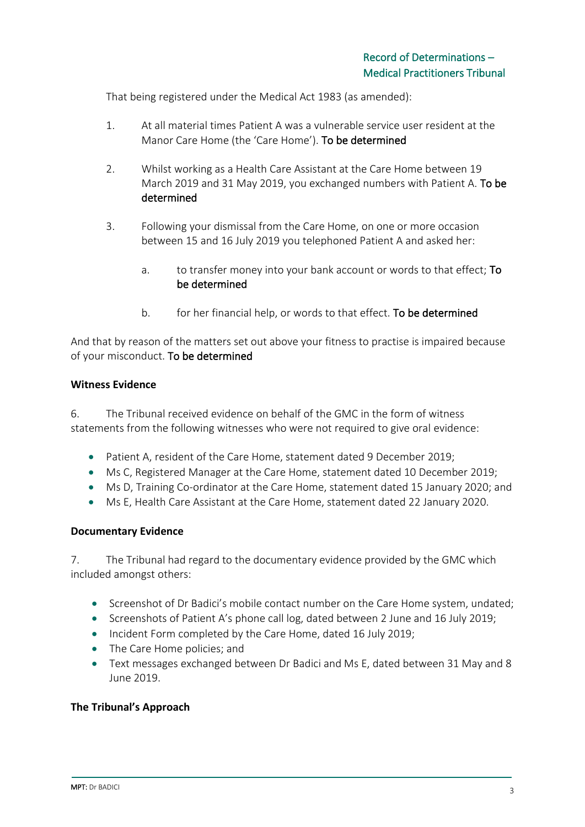That being registered under the Medical Act 1983 (as amended):

- 1. At all material times Patient A was a vulnerable service user resident at the Manor Care Home (the 'Care Home'). To be determined
- 2. Whilst working as a Health Care Assistant at the Care Home between 19 March 2019 and 31 May 2019, you exchanged numbers with Patient A. To be determined
- 3. Following your dismissal from the Care Home, on one or more occasion between 15 and 16 July 2019 you telephoned Patient A and asked her:
	- a. to transfer money into your bank account or words to that effect; To be determined
	- b. for her financial help, or words to that effect. To be determined

And that by reason of the matters set out above your fitness to practise is impaired because of your misconduct. To be determined

#### **Witness Evidence**

6. The Tribunal received evidence on behalf of the GMC in the form of witness statements from the following witnesses who were not required to give oral evidence:

- Patient A, resident of the Care Home, statement dated 9 December 2019;
- Ms C, Registered Manager at the Care Home, statement dated 10 December 2019;
- Ms D, Training Co-ordinator at the Care Home, statement dated 15 January 2020; and
- Ms E, Health Care Assistant at the Care Home, statement dated 22 January 2020.

#### **Documentary Evidence**

7. The Tribunal had regard to the documentary evidence provided by the GMC which included amongst others:

- Screenshot of Dr Badici's mobile contact number on the Care Home system, undated;
- Screenshots of Patient A's phone call log, dated between 2 June and 16 July 2019;
- Incident Form completed by the Care Home, dated 16 July 2019;
- The Care Home policies; and
- Text messages exchanged between Dr Badici and Ms E, dated between 31 May and 8 June 2019.

#### **The Tribunal's Approach**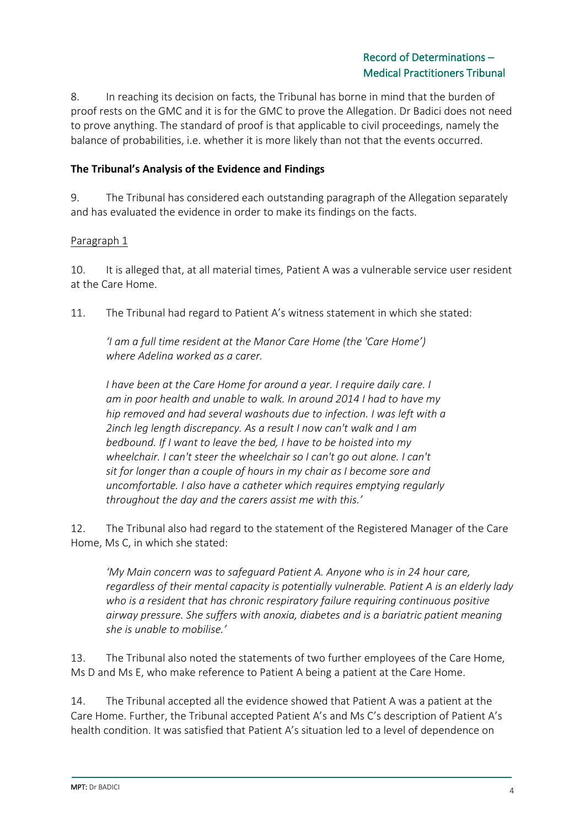8. In reaching its decision on facts, the Tribunal has borne in mind that the burden of proof rests on the GMC and it is for the GMC to prove the Allegation. Dr Badici does not need to prove anything. The standard of proof is that applicable to civil proceedings, namely the balance of probabilities, i.e. whether it is more likely than not that the events occurred.

## **The Tribunal's Analysis of the Evidence and Findings**

9. The Tribunal has considered each outstanding paragraph of the Allegation separately and has evaluated the evidence in order to make its findings on the facts.

## Paragraph 1

10. It is alleged that, at all material times, Patient A was a vulnerable service user resident at the Care Home.

11. The Tribunal had regard to Patient A's witness statement in which she stated:

*'I am a full time resident at the Manor Care Home (the 'Care Home') where Adelina worked as a carer.*

*I have been at the Care Home for around a year. I require daily care. I am in poor health and unable to walk. In around 2014 I had to have my hip removed and had several washouts due to infection. I was left with a 2inch leg length discrepancy. As a result I now can't walk and I am bedbound. If I want to leave the bed, I have to be hoisted into my wheelchair. I can't steer the wheelchair so I can't go out alone. I can't sit for longer than a couple of hours in my chair as I become sore and uncomfortable. I also have a catheter which requires emptying regularly throughout the day and the carers assist me with this.'*

12. The Tribunal also had regard to the statement of the Registered Manager of the Care Home, Ms C, in which she stated:

*'My Main concern was to safeguard Patient A. Anyone who is in 24 hour care, regardless of their mental capacity is potentially vulnerable. Patient A is an elderly lady who is a resident that has chronic respiratory failure requiring continuous positive airway pressure. She suffers with anoxia, diabetes and is a bariatric patient meaning she is unable to mobilise.'*

13. The Tribunal also noted the statements of two further employees of the Care Home, Ms D and Ms E, who make reference to Patient A being a patient at the Care Home.

14. The Tribunal accepted all the evidence showed that Patient A was a patient at the Care Home. Further, the Tribunal accepted Patient A's and Ms C's description of Patient A's health condition. It was satisfied that Patient A's situation led to a level of dependence on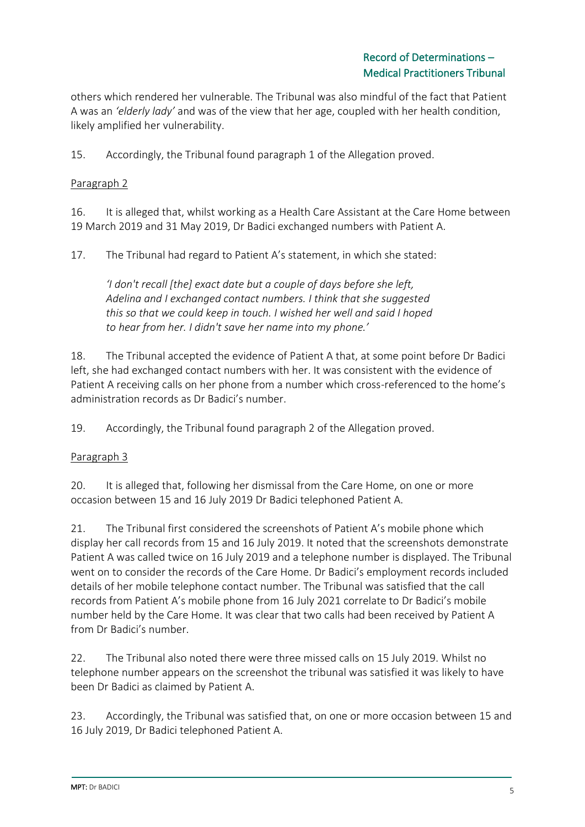others which rendered her vulnerable. The Tribunal was also mindful of the fact that Patient A was an *'elderly lady'* and was of the view that her age, coupled with her health condition, likely amplified her vulnerability.

15. Accordingly, the Tribunal found paragraph 1 of the Allegation proved.

## Paragraph 2

16. It is alleged that, whilst working as a Health Care Assistant at the Care Home between 19 March 2019 and 31 May 2019, Dr Badici exchanged numbers with Patient A.

17. The Tribunal had regard to Patient A's statement, in which she stated:

*'I don't recall [the] exact date but a couple of days before she left, Adelina and I exchanged contact numbers. I think that she suggested this so that we could keep in touch. I wished her well and said I hoped to hear from her. I didn't save her name into my phone.'*

18. The Tribunal accepted the evidence of Patient A that, at some point before Dr Badici left, she had exchanged contact numbers with her. It was consistent with the evidence of Patient A receiving calls on her phone from a number which cross-referenced to the home's administration records as Dr Badici's number.

19. Accordingly, the Tribunal found paragraph 2 of the Allegation proved.

## Paragraph 3

20. It is alleged that, following her dismissal from the Care Home, on one or more occasion between 15 and 16 July 2019 Dr Badici telephoned Patient A.

21. The Tribunal first considered the screenshots of Patient A's mobile phone which display her call records from 15 and 16 July 2019. It noted that the screenshots demonstrate Patient A was called twice on 16 July 2019 and a telephone number is displayed. The Tribunal went on to consider the records of the Care Home. Dr Badici's employment records included details of her mobile telephone contact number. The Tribunal was satisfied that the call records from Patient A's mobile phone from 16 July 2021 correlate to Dr Badici's mobile number held by the Care Home. It was clear that two calls had been received by Patient A from Dr Badici's number.

22. The Tribunal also noted there were three missed calls on 15 July 2019. Whilst no telephone number appears on the screenshot the tribunal was satisfied it was likely to have been Dr Badici as claimed by Patient A.

23. Accordingly, the Tribunal was satisfied that, on one or more occasion between 15 and 16 July 2019, Dr Badici telephoned Patient A.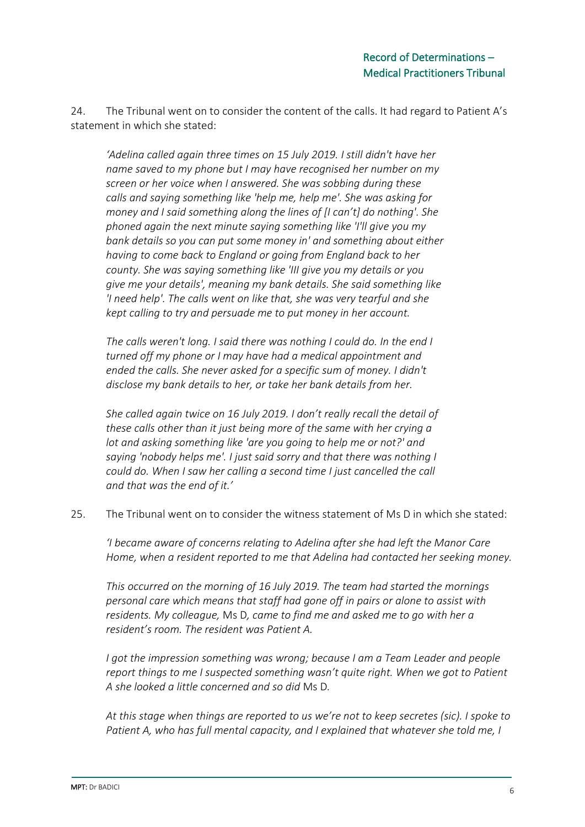24. The Tribunal went on to consider the content of the calls. It had regard to Patient A's statement in which she stated:

*'Adelina called again three times on 15 July 2019. I still didn't have her name saved to my phone but I may have recognised her number on my screen or her voice when I answered. She was sobbing during these calls and saying something like 'help me, help me'. She was asking for money and I said something along the lines of [I can't] do nothing'. She phoned again the next minute saying something like 'I'll give you my bank details so you can put some money in' and something about either having to come back to England or going from England back to her county. She was saying something like 'III give you my details or you give me your details', meaning my bank details. She said something like 'I need help'. The calls went on like that, she was very tearful and she kept calling to try and persuade me to put money in her account.*

*The calls weren't long. I said there was nothing I could do. In the end I turned off my phone or I may have had a medical appointment and ended the calls. She never asked for a specific sum of money. I didn't disclose my bank details to her, or take her bank details from her.*

*She called again twice on 16 July 2019. I don't really recall the detail of these calls other than it just being more of the same with her crying a lot and asking something like 'are you going to help me or not?' and saying 'nobody helps me'. I just said sorry and that there was nothing I could do. When I saw her calling a second time I just cancelled the call and that was the end of it.'*

25. The Tribunal went on to consider the witness statement of Ms D in which she stated:

*'I became aware of concerns relating to Adelina after she had left the Manor Care Home, when a resident reported to me that Adelina had contacted her seeking money.*

*This occurred on the morning of 16 July 2019. The team had started the mornings personal care which means that staff had gone off in pairs or alone to assist with residents. My colleague,* Ms D*, came to find me and asked me to go with her a resident's room. The resident was Patient A.* 

*I got the impression something was wrong; because I am a Team Leader and people report things to me I suspected something wasn't quite right. When we got to Patient A she looked a little concerned and so did* Ms D*.*

*At this stage when things are reported to us we're not to keep secretes (sic). I spoke to Patient A, who has full mental capacity, and I explained that whatever she told me, I*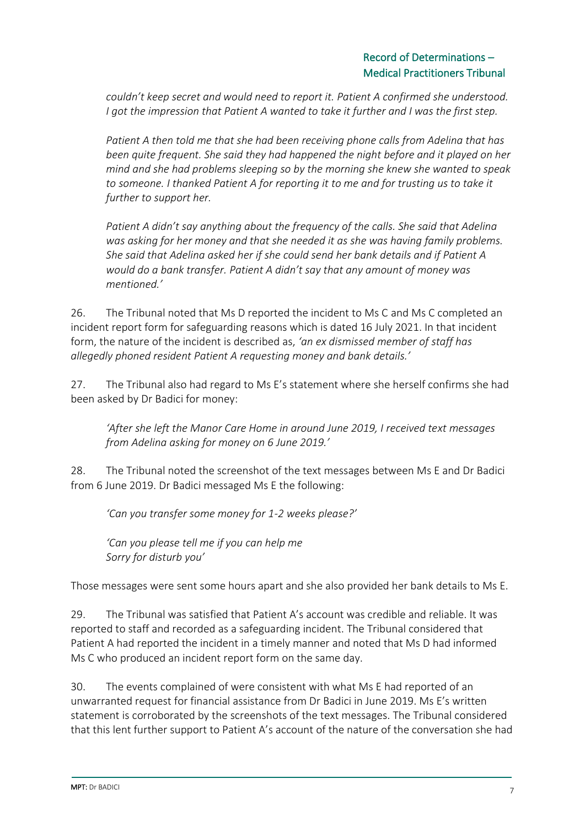*couldn't keep secret and would need to report it. Patient A confirmed she understood. I got the impression that Patient A wanted to take it further and I was the first step.*

*Patient A then told me that she had been receiving phone calls from Adelina that has been quite frequent. She said they had happened the night before and it played on her mind and she had problems sleeping so by the morning she knew she wanted to speak to someone. I thanked Patient A for reporting it to me and for trusting us to take it further to support her.* 

*Patient A didn't say anything about the frequency of the calls. She said that Adelina was asking for her money and that she needed it as she was having family problems. She said that Adelina asked her if she could send her bank details and if Patient A would do a bank transfer. Patient A didn't say that any amount of money was mentioned.'*

26. The Tribunal noted that Ms D reported the incident to Ms C and Ms C completed an incident report form for safeguarding reasons which is dated 16 July 2021. In that incident form, the nature of the incident is described as, *'an ex dismissed member of staff has allegedly phoned resident Patient A requesting money and bank details.'*

27. The Tribunal also had regard to Ms E's statement where she herself confirms she had been asked by Dr Badici for money:

*'After she left the Manor Care Home in around June 2019, I received text messages from Adelina asking for money on 6 June 2019.'*

28. The Tribunal noted the screenshot of the text messages between Ms E and Dr Badici from 6 June 2019. Dr Badici messaged Ms E the following:

*'Can you transfer some money for 1-2 weeks please?'*

*'Can you please tell me if you can help me Sorry for disturb you'*

Those messages were sent some hours apart and she also provided her bank details to Ms E.

29. The Tribunal was satisfied that Patient A's account was credible and reliable. It was reported to staff and recorded as a safeguarding incident. The Tribunal considered that Patient A had reported the incident in a timely manner and noted that Ms D had informed Ms C who produced an incident report form on the same day.

30. The events complained of were consistent with what Ms E had reported of an unwarranted request for financial assistance from Dr Badici in June 2019. Ms E's written statement is corroborated by the screenshots of the text messages. The Tribunal considered that this lent further support to Patient A's account of the nature of the conversation she had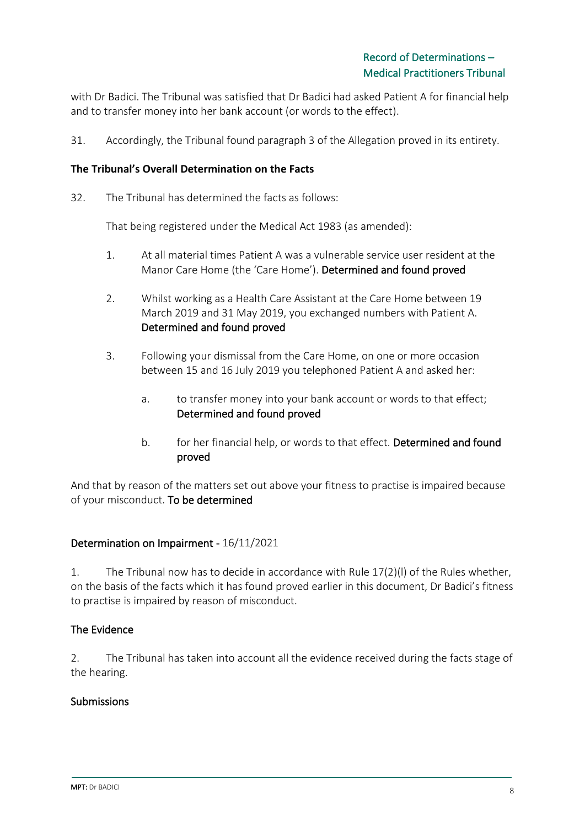with Dr Badici. The Tribunal was satisfied that Dr Badici had asked Patient A for financial help and to transfer money into her bank account (or words to the effect).

31. Accordingly, the Tribunal found paragraph 3 of the Allegation proved in its entirety.

#### **The Tribunal's Overall Determination on the Facts**

32. The Tribunal has determined the facts as follows:

That being registered under the Medical Act 1983 (as amended):

- 1. At all material times Patient A was a vulnerable service user resident at the Manor Care Home (the 'Care Home'). Determined and found proved
- 2. Whilst working as a Health Care Assistant at the Care Home between 19 March 2019 and 31 May 2019, you exchanged numbers with Patient A. Determined and found proved
- 3. Following your dismissal from the Care Home, on one or more occasion between 15 and 16 July 2019 you telephoned Patient A and asked her:
	- a. to transfer money into your bank account or words to that effect; Determined and found proved
	- b. for her financial help, or words to that effect. Determined and found proved

And that by reason of the matters set out above your fitness to practise is impaired because of your misconduct. To be determined

#### Determination on Impairment - 16/11/2021

1. The Tribunal now has to decide in accordance with Rule 17(2)(l) of the Rules whether, on the basis of the facts which it has found proved earlier in this document, Dr Badici's fitness to practise is impaired by reason of misconduct.

## The Evidence

2. The Tribunal has taken into account all the evidence received during the facts stage of the hearing.

#### Submissions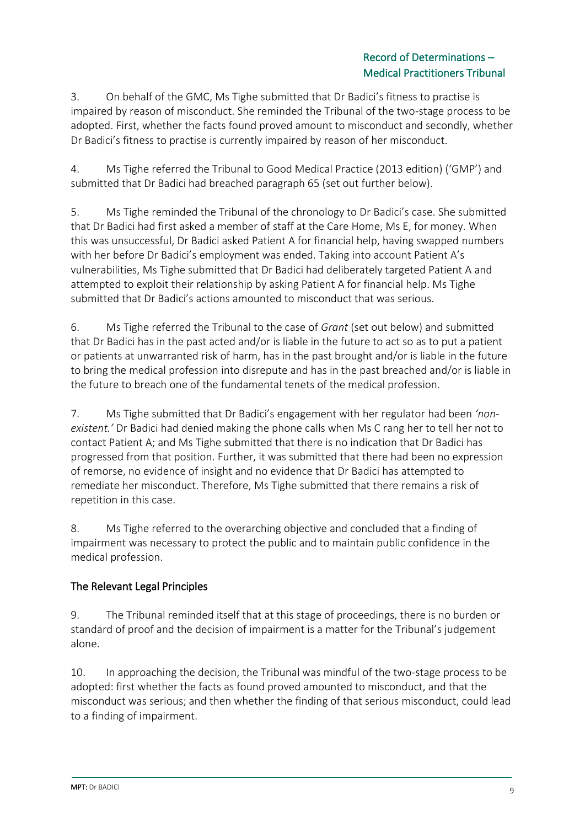## Record of Determinations – Medical Practitioners Tribunal

3. On behalf of the GMC, Ms Tighe submitted that Dr Badici's fitness to practise is impaired by reason of misconduct. She reminded the Tribunal of the two-stage process to be adopted. First, whether the facts found proved amount to misconduct and secondly, whether Dr Badici's fitness to practise is currently impaired by reason of her misconduct.

4. Ms Tighe referred the Tribunal to Good Medical Practice (2013 edition) ('GMP') and submitted that Dr Badici had breached paragraph 65 (set out further below).

5. Ms Tighe reminded the Tribunal of the chronology to Dr Badici's case. She submitted that Dr Badici had first asked a member of staff at the Care Home, Ms E, for money. When this was unsuccessful, Dr Badici asked Patient A for financial help, having swapped numbers with her before Dr Badici's employment was ended. Taking into account Patient A's vulnerabilities, Ms Tighe submitted that Dr Badici had deliberately targeted Patient A and attempted to exploit their relationship by asking Patient A for financial help. Ms Tighe submitted that Dr Badici's actions amounted to misconduct that was serious.

6. Ms Tighe referred the Tribunal to the case of *Grant* (set out below) and submitted that Dr Badici has in the past acted and/or is liable in the future to act so as to put a patient or patients at unwarranted risk of harm, has in the past brought and/or is liable in the future to bring the medical profession into disrepute and has in the past breached and/or is liable in the future to breach one of the fundamental tenets of the medical profession.

7. Ms Tighe submitted that Dr Badici's engagement with her regulator had been *'nonexistent.'* Dr Badici had denied making the phone calls when Ms C rang her to tell her not to contact Patient A; and Ms Tighe submitted that there is no indication that Dr Badici has progressed from that position. Further, it was submitted that there had been no expression of remorse, no evidence of insight and no evidence that Dr Badici has attempted to remediate her misconduct. Therefore, Ms Tighe submitted that there remains a risk of repetition in this case.

8. Ms Tighe referred to the overarching objective and concluded that a finding of impairment was necessary to protect the public and to maintain public confidence in the medical profession.

# The Relevant Legal Principles

9. The Tribunal reminded itself that at this stage of proceedings, there is no burden or standard of proof and the decision of impairment is a matter for the Tribunal's judgement alone.

10. In approaching the decision, the Tribunal was mindful of the two-stage process to be adopted: first whether the facts as found proved amounted to misconduct, and that the misconduct was serious; and then whether the finding of that serious misconduct, could lead to a finding of impairment.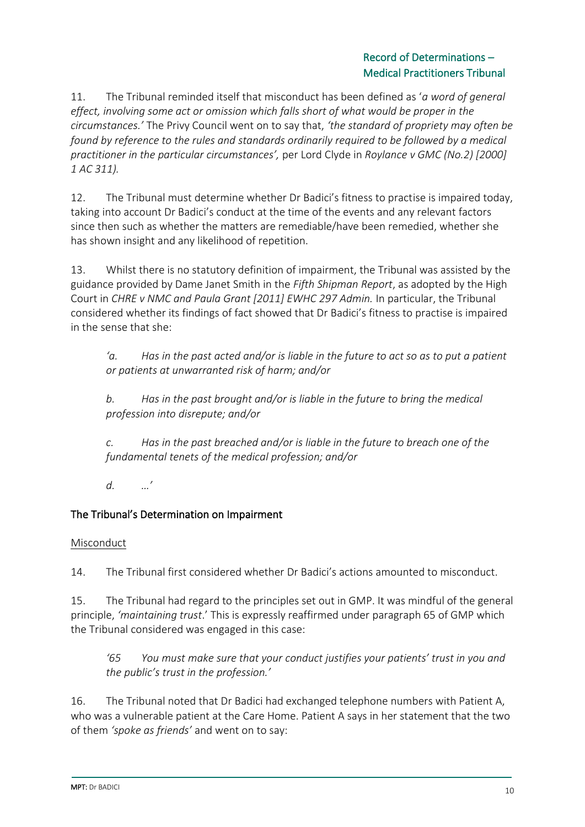## Record of Determinations – Medical Practitioners Tribunal

11. The Tribunal reminded itself that misconduct has been defined as '*a word of general effect, involving some act or omission which falls short of what would be proper in the circumstances.'* The Privy Council went on to say that, *'the standard of propriety may often be found by reference to the rules and standards ordinarily required to be followed by a medical practitioner in the particular circumstances',* per Lord Clyde in *Roylance v GMC (No.2) [2000] 1 AC 311).*

12. The Tribunal must determine whether Dr Badici's fitness to practise is impaired today, taking into account Dr Badici's conduct at the time of the events and any relevant factors since then such as whether the matters are remediable/have been remedied, whether she has shown insight and any likelihood of repetition.

13. Whilst there is no statutory definition of impairment, the Tribunal was assisted by the guidance provided by Dame Janet Smith in the *Fifth Shipman Report*, as adopted by the High Court in *CHRE v NMC and Paula Grant [2011] EWHC 297 Admin.* In particular, the Tribunal considered whether its findings of fact showed that Dr Badici's fitness to practise is impaired in the sense that she:

*'a. Has in the past acted and/or is liable in the future to act so as to put a patient or patients at unwarranted risk of harm; and/or*

*b. Has in the past brought and/or is liable in the future to bring the medical profession into disrepute; and/or*

*c. Has in the past breached and/or is liable in the future to breach one of the fundamental tenets of the medical profession; and/or*

*d. …'*

# The Tribunal's Determination on Impairment

## Misconduct

14. The Tribunal first considered whether Dr Badici's actions amounted to misconduct.

15. The Tribunal had regard to the principles set out in GMP. It was mindful of the general principle, *'maintaining trust*.' This is expressly reaffirmed under paragraph 65 of GMP which the Tribunal considered was engaged in this case:

*'65 You must make sure that your conduct justifies your patients' trust in you and the public's trust in the profession.'*

16. The Tribunal noted that Dr Badici had exchanged telephone numbers with Patient A, who was a vulnerable patient at the Care Home. Patient A says in her statement that the two of them *'spoke as friends'* and went on to say: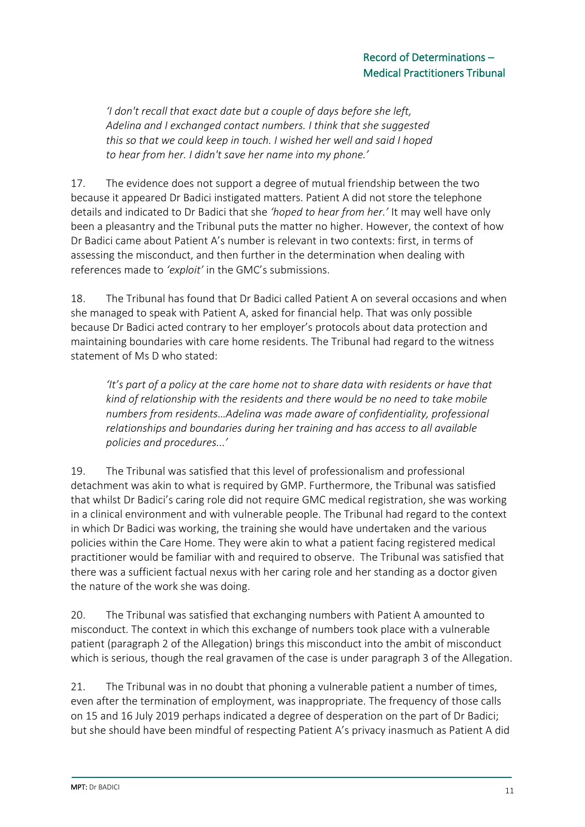*'I don't recall that exact date but a couple of days before she left, Adelina and I exchanged contact numbers. I think that she suggested this so that we could keep in touch. I wished her well and said I hoped to hear from her. I didn't save her name into my phone.'*

17. The evidence does not support a degree of mutual friendship between the two because it appeared Dr Badici instigated matters. Patient A did not store the telephone details and indicated to Dr Badici that she *'hoped to hear from her.'* It may well have only been a pleasantry and the Tribunal puts the matter no higher. However, the context of how Dr Badici came about Patient A's number is relevant in two contexts: first, in terms of assessing the misconduct, and then further in the determination when dealing with references made to *'exploit'* in the GMC's submissions.

18. The Tribunal has found that Dr Badici called Patient A on several occasions and when she managed to speak with Patient A, asked for financial help. That was only possible because Dr Badici acted contrary to her employer's protocols about data protection and maintaining boundaries with care home residents. The Tribunal had regard to the witness statement of Ms D who stated:

*'It's part of a policy at the care home not to share data with residents or have that kind of relationship with the residents and there would be no need to take mobile numbers from residents…Adelina was made aware of confidentiality, professional relationships and boundaries during her training and has access to all available policies and procedures...'*

19. The Tribunal was satisfied that this level of professionalism and professional detachment was akin to what is required by GMP. Furthermore, the Tribunal was satisfied that whilst Dr Badici's caring role did not require GMC medical registration, she was working in a clinical environment and with vulnerable people. The Tribunal had regard to the context in which Dr Badici was working, the training she would have undertaken and the various policies within the Care Home. They were akin to what a patient facing registered medical practitioner would be familiar with and required to observe. The Tribunal was satisfied that there was a sufficient factual nexus with her caring role and her standing as a doctor given the nature of the work she was doing.

20. The Tribunal was satisfied that exchanging numbers with Patient A amounted to misconduct. The context in which this exchange of numbers took place with a vulnerable patient (paragraph 2 of the Allegation) brings this misconduct into the ambit of misconduct which is serious, though the real gravamen of the case is under paragraph 3 of the Allegation.

21. The Tribunal was in no doubt that phoning a vulnerable patient a number of times, even after the termination of employment, was inappropriate. The frequency of those calls on 15 and 16 July 2019 perhaps indicated a degree of desperation on the part of Dr Badici; but she should have been mindful of respecting Patient A's privacy inasmuch as Patient A did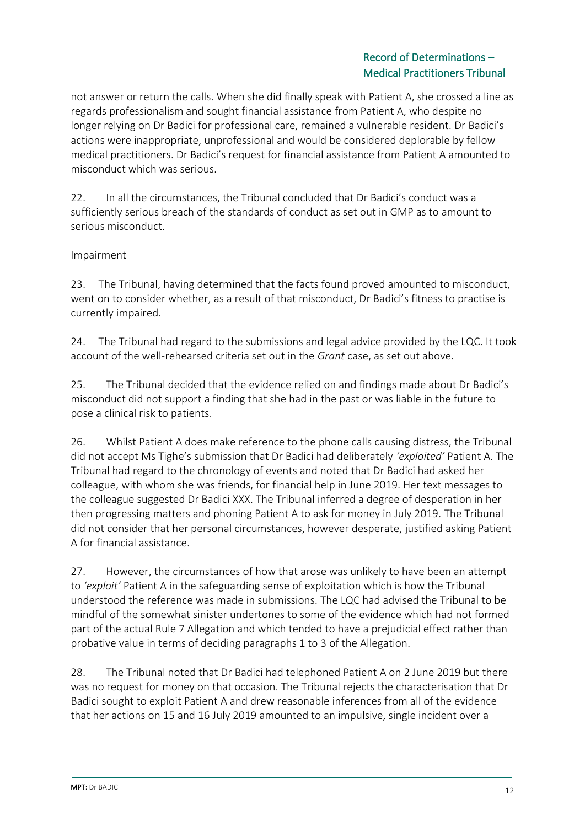## Record of Determinations – Medical Practitioners Tribunal

not answer or return the calls. When she did finally speak with Patient A, she crossed a line as regards professionalism and sought financial assistance from Patient A, who despite no longer relying on Dr Badici for professional care, remained a vulnerable resident. Dr Badici's actions were inappropriate, unprofessional and would be considered deplorable by fellow medical practitioners. Dr Badici's request for financial assistance from Patient A amounted to misconduct which was serious.

22. In all the circumstances, the Tribunal concluded that Dr Badici's conduct was a sufficiently serious breach of the standards of conduct as set out in GMP as to amount to serious misconduct.

## Impairment

23. The Tribunal, having determined that the facts found proved amounted to misconduct, went on to consider whether, as a result of that misconduct, Dr Badici's fitness to practise is currently impaired.

24. The Tribunal had regard to the submissions and legal advice provided by the LQC. It took account of the well-rehearsed criteria set out in the *Grant* case, as set out above.

25. The Tribunal decided that the evidence relied on and findings made about Dr Badici's misconduct did not support a finding that she had in the past or was liable in the future to pose a clinical risk to patients.

26. Whilst Patient A does make reference to the phone calls causing distress, the Tribunal did not accept Ms Tighe's submission that Dr Badici had deliberately *'exploited'* Patient A. The Tribunal had regard to the chronology of events and noted that Dr Badici had asked her colleague, with whom she was friends, for financial help in June 2019. Her text messages to the colleague suggested Dr Badici XXX. The Tribunal inferred a degree of desperation in her then progressing matters and phoning Patient A to ask for money in July 2019. The Tribunal did not consider that her personal circumstances, however desperate, justified asking Patient A for financial assistance.

27. However, the circumstances of how that arose was unlikely to have been an attempt to *'exploit'* Patient A in the safeguarding sense of exploitation which is how the Tribunal understood the reference was made in submissions. The LQC had advised the Tribunal to be mindful of the somewhat sinister undertones to some of the evidence which had not formed part of the actual Rule 7 Allegation and which tended to have a prejudicial effect rather than probative value in terms of deciding paragraphs 1 to 3 of the Allegation.

28. The Tribunal noted that Dr Badici had telephoned Patient A on 2 June 2019 but there was no request for money on that occasion. The Tribunal rejects the characterisation that Dr Badici sought to exploit Patient A and drew reasonable inferences from all of the evidence that her actions on 15 and 16 July 2019 amounted to an impulsive, single incident over a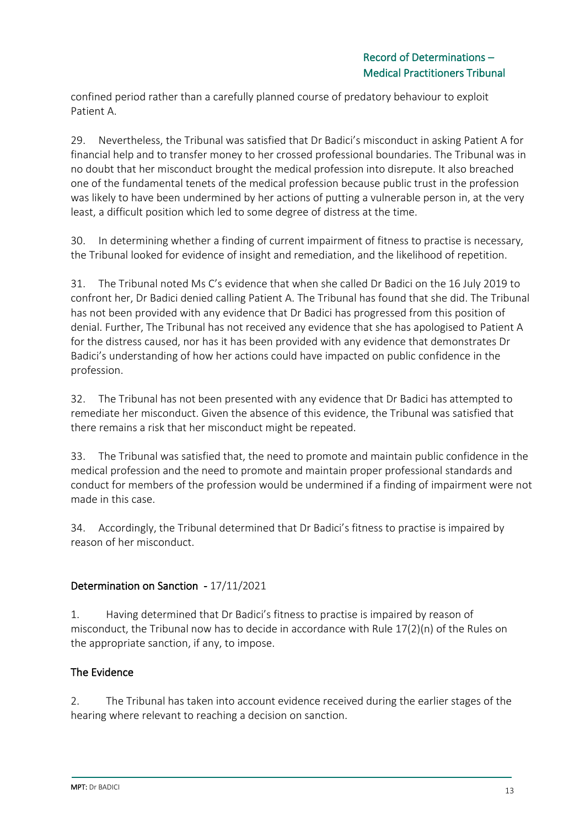confined period rather than a carefully planned course of predatory behaviour to exploit Patient A.

29. Nevertheless, the Tribunal was satisfied that Dr Badici's misconduct in asking Patient A for financial help and to transfer money to her crossed professional boundaries. The Tribunal was in no doubt that her misconduct brought the medical profession into disrepute. It also breached one of the fundamental tenets of the medical profession because public trust in the profession was likely to have been undermined by her actions of putting a vulnerable person in, at the very least, a difficult position which led to some degree of distress at the time.

30. In determining whether a finding of current impairment of fitness to practise is necessary, the Tribunal looked for evidence of insight and remediation, and the likelihood of repetition.

31. The Tribunal noted Ms C's evidence that when she called Dr Badici on the 16 July 2019 to confront her, Dr Badici denied calling Patient A. The Tribunal has found that she did. The Tribunal has not been provided with any evidence that Dr Badici has progressed from this position of denial. Further, The Tribunal has not received any evidence that she has apologised to Patient A for the distress caused, nor has it has been provided with any evidence that demonstrates Dr Badici's understanding of how her actions could have impacted on public confidence in the profession.

32. The Tribunal has not been presented with any evidence that Dr Badici has attempted to remediate her misconduct. Given the absence of this evidence, the Tribunal was satisfied that there remains a risk that her misconduct might be repeated.

33. The Tribunal was satisfied that, the need to promote and maintain public confidence in the medical profession and the need to promote and maintain proper professional standards and conduct for members of the profession would be undermined if a finding of impairment were not made in this case.

34. Accordingly, the Tribunal determined that Dr Badici's fitness to practise is impaired by reason of her misconduct.

## Determination on Sanction - 17/11/2021

1. Having determined that Dr Badici's fitness to practise is impaired by reason of misconduct, the Tribunal now has to decide in accordance with Rule 17(2)(n) of the Rules on the appropriate sanction, if any, to impose.

## The Evidence

2. The Tribunal has taken into account evidence received during the earlier stages of the hearing where relevant to reaching a decision on sanction.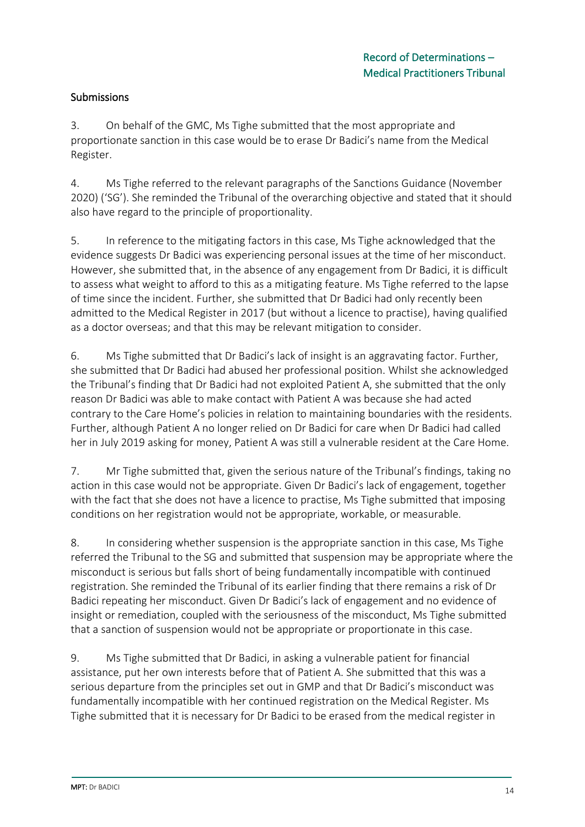## Submissions

3. On behalf of the GMC, Ms Tighe submitted that the most appropriate and proportionate sanction in this case would be to erase Dr Badici's name from the Medical Register.

4. Ms Tighe referred to the relevant paragraphs of the Sanctions Guidance (November 2020) ('SG'). She reminded the Tribunal of the overarching objective and stated that it should also have regard to the principle of proportionality.

5. In reference to the mitigating factors in this case, Ms Tighe acknowledged that the evidence suggests Dr Badici was experiencing personal issues at the time of her misconduct. However, she submitted that, in the absence of any engagement from Dr Badici, it is difficult to assess what weight to afford to this as a mitigating feature. Ms Tighe referred to the lapse of time since the incident. Further, she submitted that Dr Badici had only recently been admitted to the Medical Register in 2017 (but without a licence to practise), having qualified as a doctor overseas; and that this may be relevant mitigation to consider.

6. Ms Tighe submitted that Dr Badici's lack of insight is an aggravating factor. Further, she submitted that Dr Badici had abused her professional position. Whilst she acknowledged the Tribunal's finding that Dr Badici had not exploited Patient A, she submitted that the only reason Dr Badici was able to make contact with Patient A was because she had acted contrary to the Care Home's policies in relation to maintaining boundaries with the residents. Further, although Patient A no longer relied on Dr Badici for care when Dr Badici had called her in July 2019 asking for money, Patient A was still a vulnerable resident at the Care Home.

7. Mr Tighe submitted that, given the serious nature of the Tribunal's findings, taking no action in this case would not be appropriate. Given Dr Badici's lack of engagement, together with the fact that she does not have a licence to practise, Ms Tighe submitted that imposing conditions on her registration would not be appropriate, workable, or measurable.

8. In considering whether suspension is the appropriate sanction in this case, Ms Tighe referred the Tribunal to the SG and submitted that suspension may be appropriate where the misconduct is serious but falls short of being fundamentally incompatible with continued registration. She reminded the Tribunal of its earlier finding that there remains a risk of Dr Badici repeating her misconduct. Given Dr Badici's lack of engagement and no evidence of insight or remediation, coupled with the seriousness of the misconduct, Ms Tighe submitted that a sanction of suspension would not be appropriate or proportionate in this case.

9. Ms Tighe submitted that Dr Badici, in asking a vulnerable patient for financial assistance, put her own interests before that of Patient A. She submitted that this was a serious departure from the principles set out in GMP and that Dr Badici's misconduct was fundamentally incompatible with her continued registration on the Medical Register. Ms Tighe submitted that it is necessary for Dr Badici to be erased from the medical register in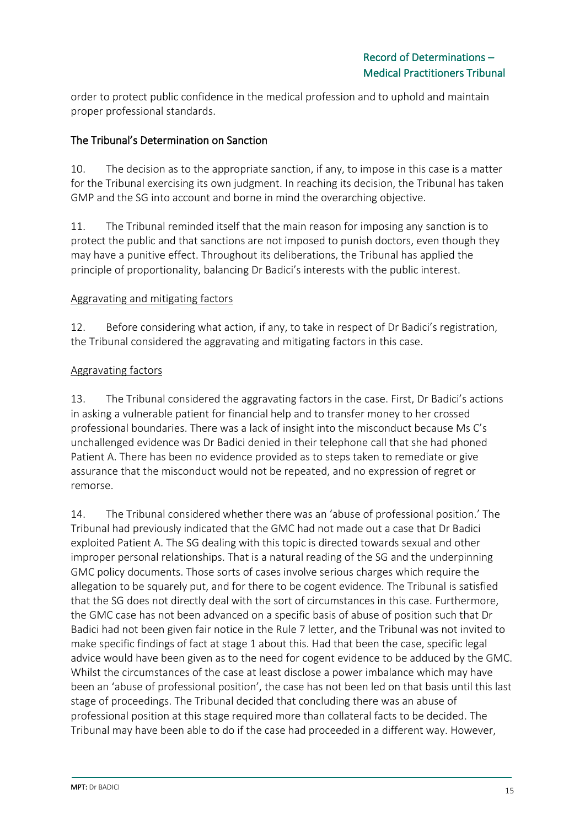order to protect public confidence in the medical profession and to uphold and maintain proper professional standards.

## The Tribunal's Determination on Sanction

10. The decision as to the appropriate sanction, if any, to impose in this case is a matter for the Tribunal exercising its own judgment. In reaching its decision, the Tribunal has taken GMP and the SG into account and borne in mind the overarching objective.

11. The Tribunal reminded itself that the main reason for imposing any sanction is to protect the public and that sanctions are not imposed to punish doctors, even though they may have a punitive effect. Throughout its deliberations, the Tribunal has applied the principle of proportionality, balancing Dr Badici's interests with the public interest.

## Aggravating and mitigating factors

12. Before considering what action, if any, to take in respect of Dr Badici's registration, the Tribunal considered the aggravating and mitigating factors in this case.

#### Aggravating factors

13. The Tribunal considered the aggravating factors in the case. First, Dr Badici's actions in asking a vulnerable patient for financial help and to transfer money to her crossed professional boundaries. There was a lack of insight into the misconduct because Ms C's unchallenged evidence was Dr Badici denied in their telephone call that she had phoned Patient A. There has been no evidence provided as to steps taken to remediate or give assurance that the misconduct would not be repeated, and no expression of regret or remorse.

14. The Tribunal considered whether there was an 'abuse of professional position.' The Tribunal had previously indicated that the GMC had not made out a case that Dr Badici exploited Patient A. The SG dealing with this topic is directed towards sexual and other improper personal relationships. That is a natural reading of the SG and the underpinning GMC policy documents. Those sorts of cases involve serious charges which require the allegation to be squarely put, and for there to be cogent evidence. The Tribunal is satisfied that the SG does not directly deal with the sort of circumstances in this case. Furthermore, the GMC case has not been advanced on a specific basis of abuse of position such that Dr Badici had not been given fair notice in the Rule 7 letter, and the Tribunal was not invited to make specific findings of fact at stage 1 about this. Had that been the case, specific legal advice would have been given as to the need for cogent evidence to be adduced by the GMC. Whilst the circumstances of the case at least disclose a power imbalance which may have been an 'abuse of professional position', the case has not been led on that basis until this last stage of proceedings. The Tribunal decided that concluding there was an abuse of professional position at this stage required more than collateral facts to be decided. The Tribunal may have been able to do if the case had proceeded in a different way. However,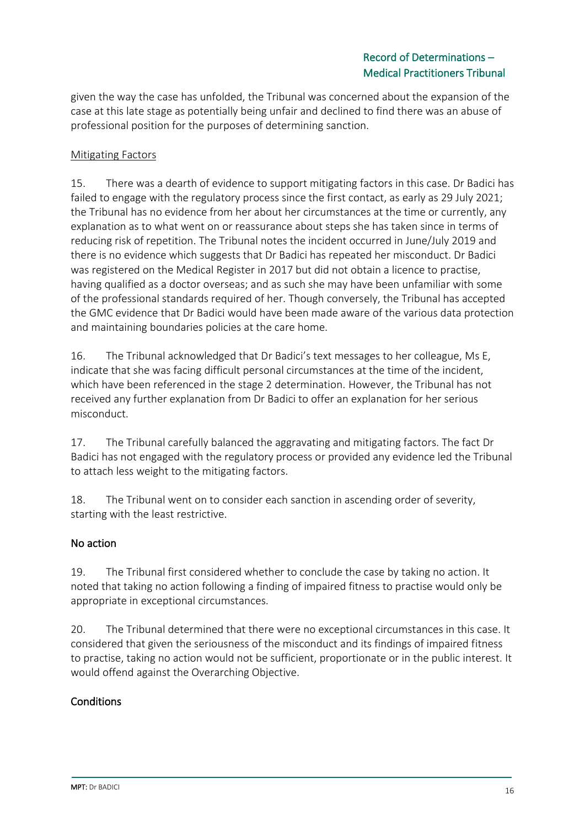given the way the case has unfolded, the Tribunal was concerned about the expansion of the case at this late stage as potentially being unfair and declined to find there was an abuse of professional position for the purposes of determining sanction.

## **Mitigating Factors**

15. There was a dearth of evidence to support mitigating factors in this case. Dr Badici has failed to engage with the regulatory process since the first contact, as early as 29 July 2021; the Tribunal has no evidence from her about her circumstances at the time or currently, any explanation as to what went on or reassurance about steps she has taken since in terms of reducing risk of repetition. The Tribunal notes the incident occurred in June/July 2019 and there is no evidence which suggests that Dr Badici has repeated her misconduct. Dr Badici was registered on the Medical Register in 2017 but did not obtain a licence to practise, having qualified as a doctor overseas; and as such she may have been unfamiliar with some of the professional standards required of her. Though conversely, the Tribunal has accepted the GMC evidence that Dr Badici would have been made aware of the various data protection and maintaining boundaries policies at the care home.

16. The Tribunal acknowledged that Dr Badici's text messages to her colleague, Ms E, indicate that she was facing difficult personal circumstances at the time of the incident, which have been referenced in the stage 2 determination. However, the Tribunal has not received any further explanation from Dr Badici to offer an explanation for her serious misconduct.

17. The Tribunal carefully balanced the aggravating and mitigating factors. The fact Dr Badici has not engaged with the regulatory process or provided any evidence led the Tribunal to attach less weight to the mitigating factors.

18. The Tribunal went on to consider each sanction in ascending order of severity, starting with the least restrictive.

## No action

19. The Tribunal first considered whether to conclude the case by taking no action. It noted that taking no action following a finding of impaired fitness to practise would only be appropriate in exceptional circumstances.

20. The Tribunal determined that there were no exceptional circumstances in this case. It considered that given the seriousness of the misconduct and its findings of impaired fitness to practise, taking no action would not be sufficient, proportionate or in the public interest. It would offend against the Overarching Objective.

## **Conditions**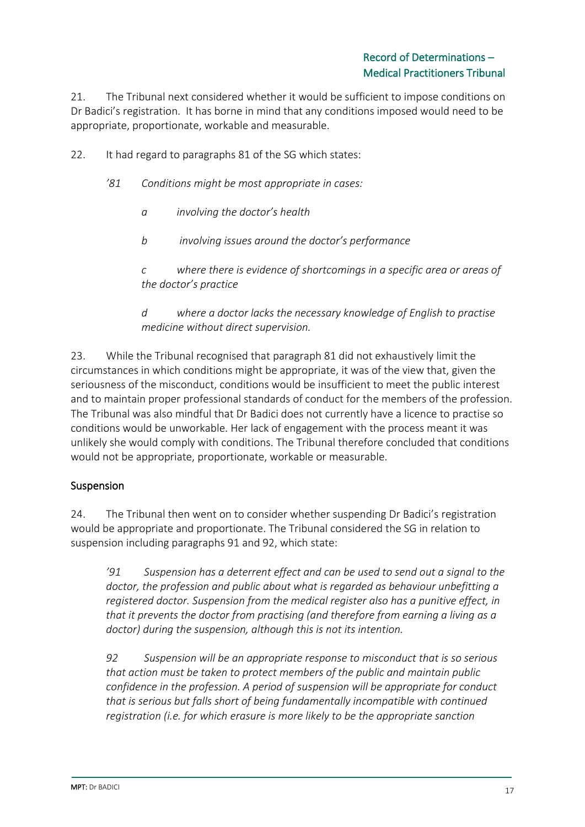21. The Tribunal next considered whether it would be sufficient to impose conditions on Dr Badici's registration. It has borne in mind that any conditions imposed would need to be appropriate, proportionate, workable and measurable.

22. It had regard to paragraphs 81 of the SG which states:

- *'81 Conditions might be most appropriate in cases:*
	- *a involving the doctor's health*
	- *b involving issues around the doctor's performance*

*c where there is evidence of shortcomings in a specific area or areas of the doctor's practice*

*d where a doctor lacks the necessary knowledge of English to practise medicine without direct supervision.*

23. While the Tribunal recognised that paragraph 81 did not exhaustively limit the circumstances in which conditions might be appropriate, it was of the view that, given the seriousness of the misconduct, conditions would be insufficient to meet the public interest and to maintain proper professional standards of conduct for the members of the profession. The Tribunal was also mindful that Dr Badici does not currently have a licence to practise so conditions would be unworkable. Her lack of engagement with the process meant it was unlikely she would comply with conditions. The Tribunal therefore concluded that conditions would not be appropriate, proportionate, workable or measurable.

## Suspension

24. The Tribunal then went on to consider whether suspending Dr Badici's registration would be appropriate and proportionate. The Tribunal considered the SG in relation to suspension including paragraphs 91 and 92, which state:

*'91 Suspension has a deterrent effect and can be used to send out a signal to the doctor, the profession and public about what is regarded as behaviour unbefitting a registered doctor. Suspension from the medical register also has a punitive effect, in that it prevents the doctor from practising (and therefore from earning a living as a doctor) during the suspension, although this is not its intention.*

*92 Suspension will be an appropriate response to misconduct that is so serious that action must be taken to protect members of the public and maintain public confidence in the profession. A period of suspension will be appropriate for conduct that is serious but falls short of being fundamentally incompatible with continued registration (i.e. for which erasure is more likely to be the appropriate sanction*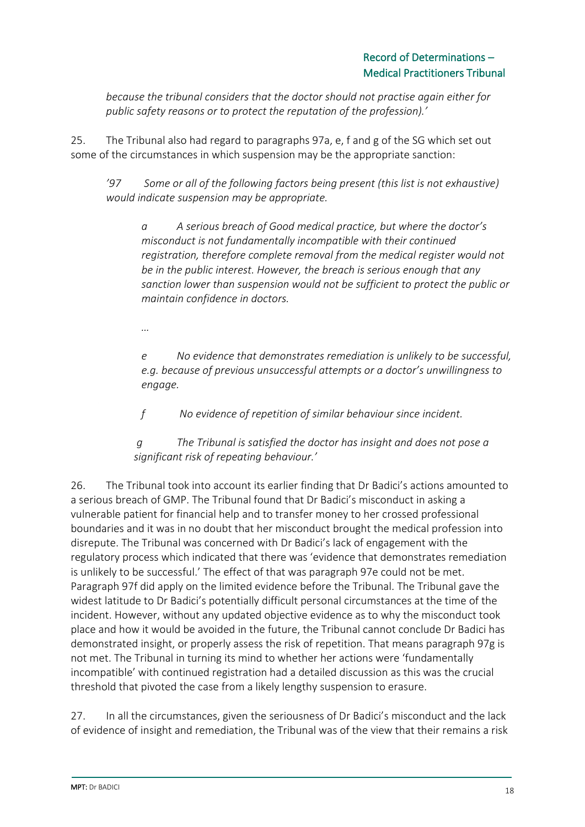*because the tribunal considers that the doctor should not practise again either for public safety reasons or to protect the reputation of the profession).'*

25. The Tribunal also had regard to paragraphs 97a, e, f and g of the SG which set out some of the circumstances in which suspension may be the appropriate sanction:

*'97 Some or all of the following factors being present (this list is not exhaustive) would indicate suspension may be appropriate.*

*a A serious breach of Good medical practice, but where the doctor's misconduct is not fundamentally incompatible with their continued registration, therefore complete removal from the medical register would not be in the public interest. However, the breach is serious enough that any sanction lower than suspension would not be sufficient to protect the public or maintain confidence in doctors.*

*…*

*e No evidence that demonstrates remediation is unlikely to be successful, e.g. because of previous unsuccessful attempts or a doctor's unwillingness to engage.* 

*f No evidence of repetition of similar behaviour since incident.*

*g The Tribunal is satisfied the doctor has insight and does not pose a significant risk of repeating behaviour.'*

26. The Tribunal took into account its earlier finding that Dr Badici's actions amounted to a serious breach of GMP. The Tribunal found that Dr Badici's misconduct in asking a vulnerable patient for financial help and to transfer money to her crossed professional boundaries and it was in no doubt that her misconduct brought the medical profession into disrepute. The Tribunal was concerned with Dr Badici's lack of engagement with the regulatory process which indicated that there was 'evidence that demonstrates remediation is unlikely to be successful.' The effect of that was paragraph 97e could not be met. Paragraph 97f did apply on the limited evidence before the Tribunal. The Tribunal gave the widest latitude to Dr Badici's potentially difficult personal circumstances at the time of the incident. However, without any updated objective evidence as to why the misconduct took place and how it would be avoided in the future, the Tribunal cannot conclude Dr Badici has demonstrated insight, or properly assess the risk of repetition. That means paragraph 97g is not met. The Tribunal in turning its mind to whether her actions were 'fundamentally incompatible' with continued registration had a detailed discussion as this was the crucial threshold that pivoted the case from a likely lengthy suspension to erasure.

27. In all the circumstances, given the seriousness of Dr Badici's misconduct and the lack of evidence of insight and remediation, the Tribunal was of the view that their remains a risk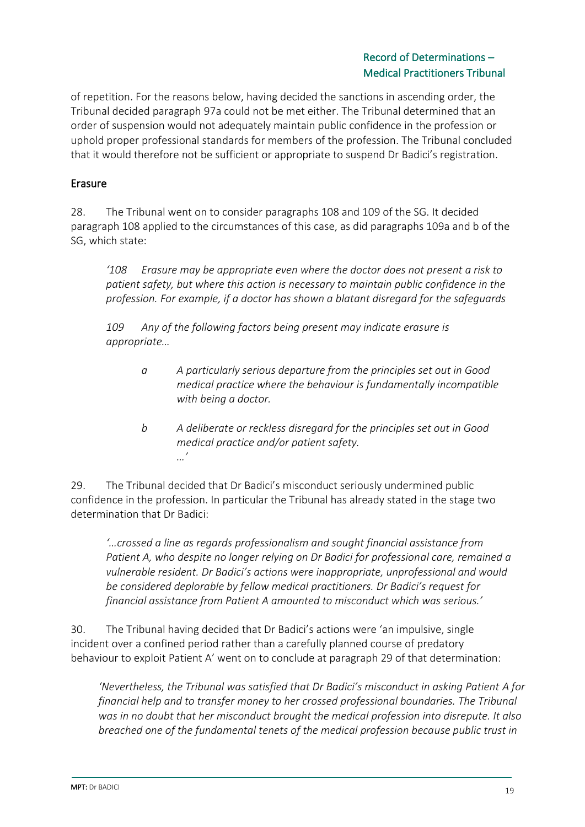of repetition. For the reasons below, having decided the sanctions in ascending order, the Tribunal decided paragraph 97a could not be met either. The Tribunal determined that an order of suspension would not adequately maintain public confidence in the profession or uphold proper professional standards for members of the profession. The Tribunal concluded that it would therefore not be sufficient or appropriate to suspend Dr Badici's registration.

## Erasure

28. The Tribunal went on to consider paragraphs 108 and 109 of the SG. It decided paragraph 108 applied to the circumstances of this case, as did paragraphs 109a and b of the SG, which state:

*'108 Erasure may be appropriate even where the doctor does not present a risk to patient safety, but where this action is necessary to maintain public confidence in the profession. For example, if a doctor has shown a blatant disregard for the safeguards*

*109 Any of the following factors being present may indicate erasure is appropriate…*

- *a A particularly serious departure from the principles set out in Good medical practice where the behaviour is fundamentally incompatible with being a doctor.*
- *b A deliberate or reckless disregard for the principles set out in Good medical practice and/or patient safety. …'*

29. The Tribunal decided that Dr Badici's misconduct seriously undermined public confidence in the profession. In particular the Tribunal has already stated in the stage two determination that Dr Badici:

*'…crossed a line as regards professionalism and sought financial assistance from Patient A, who despite no longer relying on Dr Badici for professional care, remained a vulnerable resident. Dr Badici's actions were inappropriate, unprofessional and would be considered deplorable by fellow medical practitioners. Dr Badici's request for financial assistance from Patient A amounted to misconduct which was serious.'*

30. The Tribunal having decided that Dr Badici's actions were 'an impulsive, single incident over a confined period rather than a carefully planned course of predatory behaviour to exploit Patient A' went on to conclude at paragraph 29 of that determination:

*'Nevertheless, the Tribunal was satisfied that Dr Badici's misconduct in asking Patient A for financial help and to transfer money to her crossed professional boundaries. The Tribunal was in no doubt that her misconduct brought the medical profession into disrepute. It also breached one of the fundamental tenets of the medical profession because public trust in*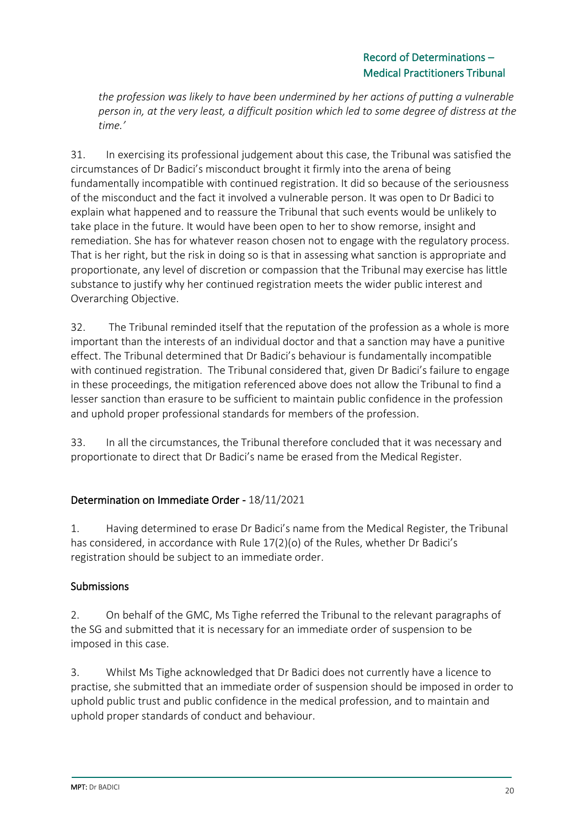*the profession was likely to have been undermined by her actions of putting a vulnerable person in, at the very least, a difficult position which led to some degree of distress at the time.'*

31. In exercising its professional judgement about this case, the Tribunal was satisfied the circumstances of Dr Badici's misconduct brought it firmly into the arena of being fundamentally incompatible with continued registration. It did so because of the seriousness of the misconduct and the fact it involved a vulnerable person. It was open to Dr Badici to explain what happened and to reassure the Tribunal that such events would be unlikely to take place in the future. It would have been open to her to show remorse, insight and remediation. She has for whatever reason chosen not to engage with the regulatory process. That is her right, but the risk in doing so is that in assessing what sanction is appropriate and proportionate, any level of discretion or compassion that the Tribunal may exercise has little substance to justify why her continued registration meets the wider public interest and Overarching Objective.

32. The Tribunal reminded itself that the reputation of the profession as a whole is more important than the interests of an individual doctor and that a sanction may have a punitive effect. The Tribunal determined that Dr Badici's behaviour is fundamentally incompatible with continued registration. The Tribunal considered that, given Dr Badici's failure to engage in these proceedings, the mitigation referenced above does not allow the Tribunal to find a lesser sanction than erasure to be sufficient to maintain public confidence in the profession and uphold proper professional standards for members of the profession.

33. In all the circumstances, the Tribunal therefore concluded that it was necessary and proportionate to direct that Dr Badici's name be erased from the Medical Register.

## Determination on Immediate Order - 18/11/2021

1. Having determined to erase Dr Badici's name from the Medical Register, the Tribunal has considered, in accordance with Rule 17(2)(o) of the Rules, whether Dr Badici's registration should be subject to an immediate order.

## Submissions

2. On behalf of the GMC, Ms Tighe referred the Tribunal to the relevant paragraphs of the SG and submitted that it is necessary for an immediate order of suspension to be imposed in this case.

3. Whilst Ms Tighe acknowledged that Dr Badici does not currently have a licence to practise, she submitted that an immediate order of suspension should be imposed in order to uphold public trust and public confidence in the medical profession, and to maintain and uphold proper standards of conduct and behaviour.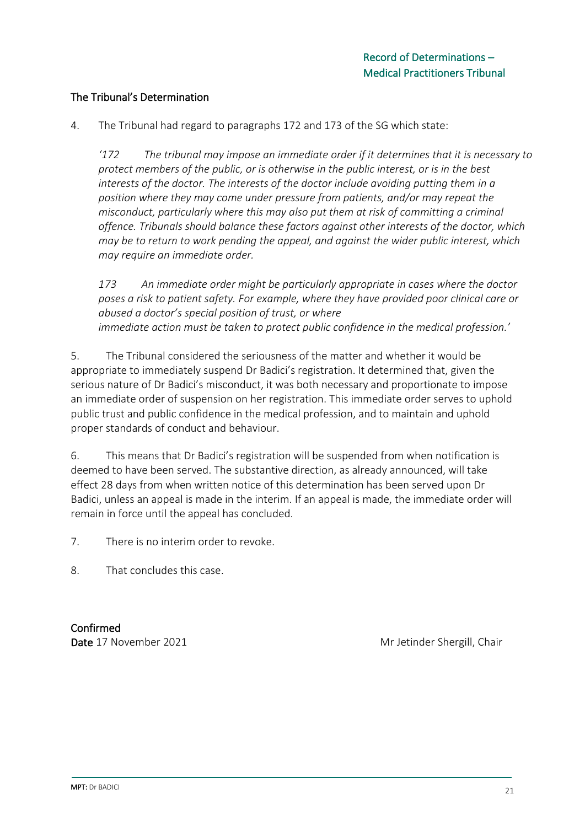### The Tribunal's Determination

4. The Tribunal had regard to paragraphs 172 and 173 of the SG which state:

*'172 The tribunal may impose an immediate order if it determines that it is necessary to protect members of the public, or is otherwise in the public interest, or is in the best interests of the doctor. The interests of the doctor include avoiding putting them in a position where they may come under pressure from patients, and/or may repeat the misconduct, particularly where this may also put them at risk of committing a criminal offence. Tribunals should balance these factors against other interests of the doctor, which may be to return to work pending the appeal, and against the wider public interest, which may require an immediate order.*

*173 An immediate order might be particularly appropriate in cases where the doctor poses a risk to patient safety. For example, where they have provided poor clinical care or abused a doctor's special position of trust, or where immediate action must be taken to protect public confidence in the medical profession.'*

5. The Tribunal considered the seriousness of the matter and whether it would be appropriate to immediately suspend Dr Badici's registration. It determined that, given the serious nature of Dr Badici's misconduct, it was both necessary and proportionate to impose an immediate order of suspension on her registration. This immediate order serves to uphold public trust and public confidence in the medical profession, and to maintain and uphold proper standards of conduct and behaviour.

6. This means that Dr Badici's registration will be suspended from when notification is deemed to have been served. The substantive direction, as already announced, will take effect 28 days from when written notice of this determination has been served upon Dr Badici, unless an appeal is made in the interim. If an appeal is made, the immediate order will remain in force until the appeal has concluded.

7. There is no interim order to revoke.

8. That concludes this case.

Confirmed

Date 17 November 2021 Mr Jetinder Shergill, Chair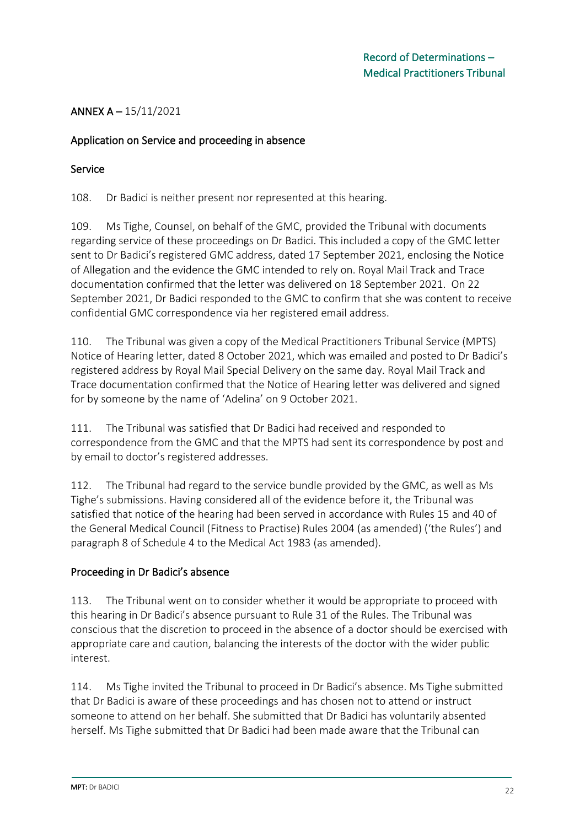## ANNEX A – 15/11/2021

### Application on Service and proceeding in absence

#### Service

108. Dr Badici is neither present nor represented at this hearing.

109. Ms Tighe, Counsel, on behalf of the GMC, provided the Tribunal with documents regarding service of these proceedings on Dr Badici. This included a copy of the GMC letter sent to Dr Badici's registered GMC address, dated 17 September 2021, enclosing the Notice of Allegation and the evidence the GMC intended to rely on. Royal Mail Track and Trace documentation confirmed that the letter was delivered on 18 September 2021. On 22 September 2021, Dr Badici responded to the GMC to confirm that she was content to receive confidential GMC correspondence via her registered email address.

110. The Tribunal was given a copy of the Medical Practitioners Tribunal Service (MPTS) Notice of Hearing letter, dated 8 October 2021, which was emailed and posted to Dr Badici's registered address by Royal Mail Special Delivery on the same day. Royal Mail Track and Trace documentation confirmed that the Notice of Hearing letter was delivered and signed for by someone by the name of 'Adelina' on 9 October 2021.

111. The Tribunal was satisfied that Dr Badici had received and responded to correspondence from the GMC and that the MPTS had sent its correspondence by post and by email to doctor's registered addresses.

112. The Tribunal had regard to the service bundle provided by the GMC, as well as Ms Tighe's submissions. Having considered all of the evidence before it, the Tribunal was satisfied that notice of the hearing had been served in accordance with Rules 15 and 40 of the General Medical Council (Fitness to Practise) Rules 2004 (as amended) ('the Rules') and paragraph 8 of Schedule 4 to the Medical Act 1983 (as amended).

## Proceeding in Dr Badici's absence

113. The Tribunal went on to consider whether it would be appropriate to proceed with this hearing in Dr Badici's absence pursuant to Rule 31 of the Rules. The Tribunal was conscious that the discretion to proceed in the absence of a doctor should be exercised with appropriate care and caution, balancing the interests of the doctor with the wider public interest.

114. Ms Tighe invited the Tribunal to proceed in Dr Badici's absence. Ms Tighe submitted that Dr Badici is aware of these proceedings and has chosen not to attend or instruct someone to attend on her behalf. She submitted that Dr Badici has voluntarily absented herself. Ms Tighe submitted that Dr Badici had been made aware that the Tribunal can